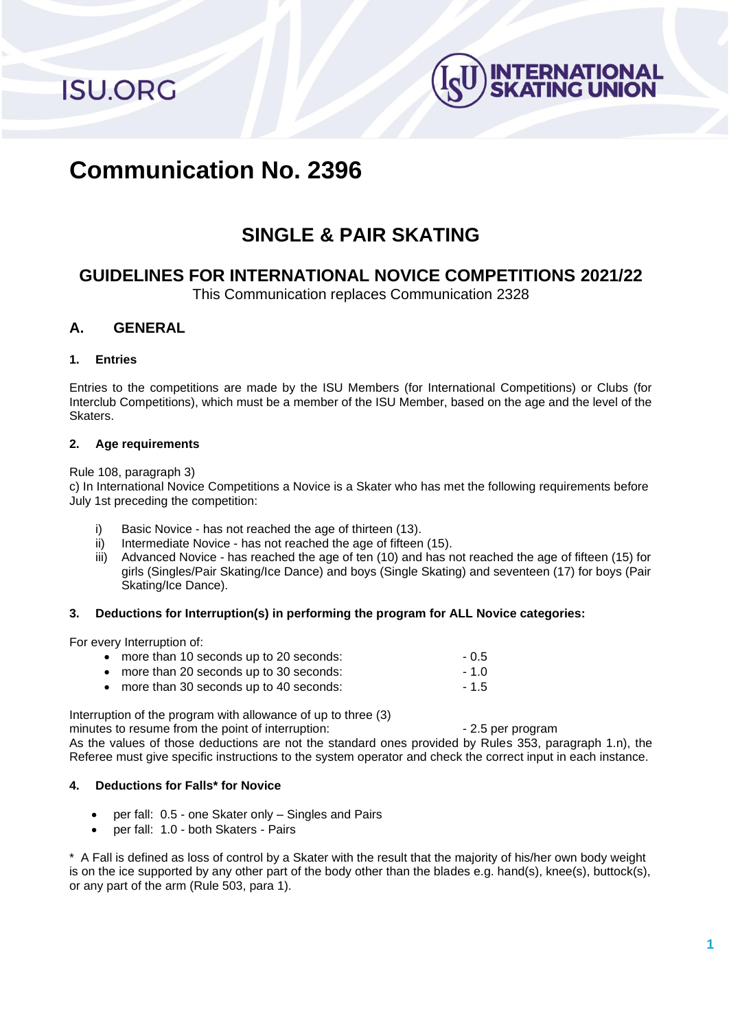**ISU.ORG** 



# **Communication No. 2396**

# **SINGLE & PAIR SKATING**

# **GUIDELINES FOR INTERNATIONAL NOVICE COMPETITIONS 2021/22**

This Communication replaces Communication 2328

# **A. GENERAL**

# **1. Entries**

Entries to the competitions are made by the ISU Members (for International Competitions) or Clubs (for Interclub Competitions), which must be a member of the ISU Member, based on the age and the level of the Skaters.

# **2. Age requirements**

#### Rule 108, paragraph 3)

c) In International Novice Competitions a Novice is a Skater who has met the following requirements before July 1st preceding the competition:

- i) Basic Novice has not reached the age of thirteen (13).
- ii) Intermediate Novice has not reached the age of fifteen (15).
- iii) Advanced Novice has reached the age of ten (10) and has not reached the age of fifteen (15) for girls (Singles/Pair Skating/Ice Dance) and boys (Single Skating) and seventeen (17) for boys (Pair Skating/Ice Dance).

# **3. Deductions for Interruption(s) in performing the program for ALL Novice categories:**

For every Interruption of:

| • more than 10 seconds up to 20 seconds: | $-0.5$ |
|------------------------------------------|--------|
| • more than 20 seconds up to 30 seconds: | $-1.0$ |
| • more than 30 seconds up to 40 seconds: | $-1.5$ |

Interruption of the program with allowance of up to three (3)

minutes to resume from the point of interruption:  $\sim$  2.5 per program

As the values of those deductions are not the standard ones provided by Rules 353, paragraph 1.n), the Referee must give specific instructions to the system operator and check the correct input in each instance.

# **4. Deductions for Falls\* for Novice**

- per fall: 0.5 one Skater only Singles and Pairs
- per fall: 1.0 both Skaters Pairs

\* A Fall is defined as loss of control by a Skater with the result that the majority of his/her own body weight is on the ice supported by any other part of the body other than the blades e.g. hand(s), knee(s), buttock(s), or any part of the arm (Rule 503, para 1).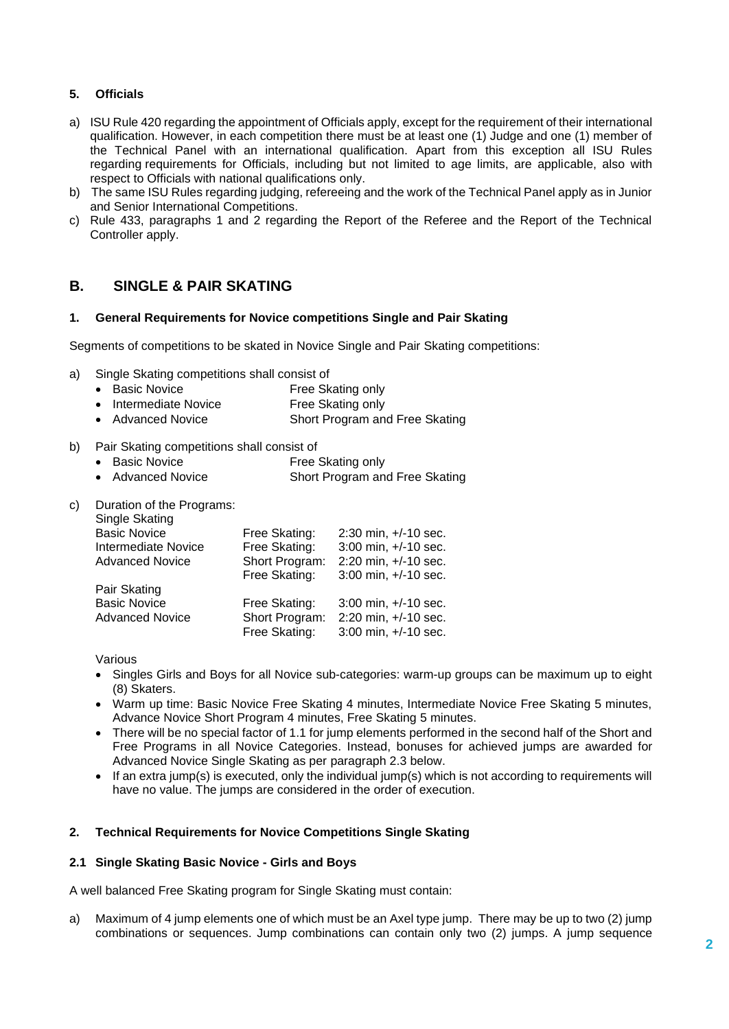# **5. Officials**

- a) ISU Rule 420 regarding the appointment of Officials apply, except for the requirement of their international qualification. However, in each competition there must be at least one (1) Judge and one (1) member of the Technical Panel with an international qualification. Apart from this exception all ISU Rules regarding requirements for Officials, including but not limited to age limits, are applicable, also with respect to Officials with national qualifications only.
- b) The same ISU Rules regarding judging, refereeing and the work of the Technical Panel apply as in Junior and Senior International Competitions.
- c) Rule 433, paragraphs 1 and 2 regarding the Report of the Referee and the Report of the Technical Controller apply.

# **B. SINGLE & PAIR SKATING**

#### **1. General Requirements for Novice competitions Single and Pair Skating**

Segments of competitions to be skated in Novice Single and Pair Skating competitions:

- a) Single Skating competitions shall consist of
	- Basic Novice Free Skating only
	- Intermediate Novice Free Skating only
	- Advanced Novice Short Program and Free Skating
- b) Pair Skating competitions shall consist of
	- Basic Novice **Free Skating only**
	- Advanced Novice Short Program and Free Skating
- c) Duration of the Programs:

| Single Skating             |                |                          |
|----------------------------|----------------|--------------------------|
| <b>Basic Novice</b>        | Free Skating:  | $2:30$ min, $+/-10$ sec. |
| <b>Intermediate Novice</b> | Free Skating:  | 3:00 min, +/-10 sec.     |
| <b>Advanced Novice</b>     | Short Program: | 2:20 min, +/-10 sec.     |
|                            | Free Skating:  | 3:00 min, +/-10 sec.     |
| Pair Skating               |                |                          |
| <b>Basic Novice</b>        | Free Skating:  | 3:00 min, +/-10 sec.     |
| <b>Advanced Novice</b>     | Short Program: | 2:20 min, +/-10 sec.     |
|                            | Free Skating:  | 3:00 min, +/-10 sec.     |

Various

- Singles Girls and Boys for all Novice sub-categories: warm-up groups can be maximum up to eight (8) Skaters.
- Warm up time: Basic Novice Free Skating 4 minutes, Intermediate Novice Free Skating 5 minutes, Advance Novice Short Program 4 minutes, Free Skating 5 minutes.
- There will be no special factor of 1.1 for jump elements performed in the second half of the Short and Free Programs in all Novice Categories. Instead, bonuses for achieved jumps are awarded for Advanced Novice Single Skating as per paragraph 2.3 below.
- If an extra jump(s) is executed, only the individual jump(s) which is not according to requirements will have no value. The jumps are considered in the order of execution.

# **2. Technical Requirements for Novice Competitions Single Skating**

#### **2.1 Single Skating Basic Novice - Girls and Boys**

A well balanced Free Skating program for Single Skating must contain:

a) Maximum of 4 jump elements one of which must be an Axel type jump. There may be up to two (2) jump combinations or sequences. Jump combinations can contain only two (2) jumps. A jump sequence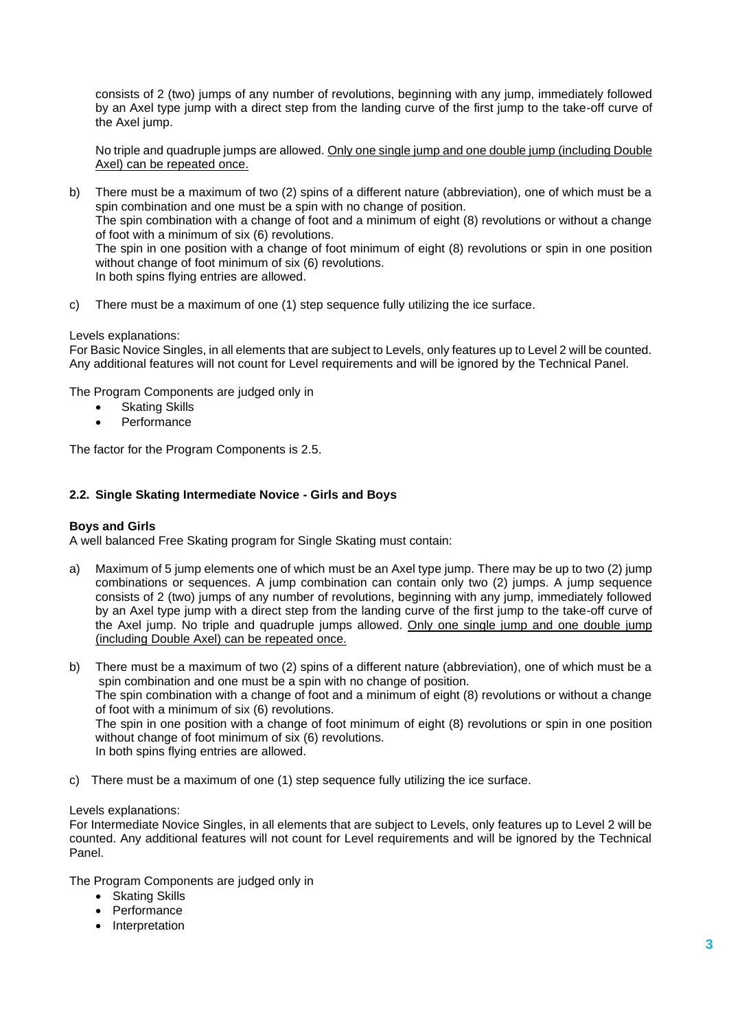consists of 2 (two) jumps of any number of revolutions, beginning with any jump, immediately followed by an Axel type jump with a direct step from the landing curve of the first jump to the take-off curve of the Axel jump.

No triple and quadruple jumps are allowed. Only one single jump and one double jump (including Double Axel) can be repeated once.

b) There must be a maximum of two (2) spins of a different nature (abbreviation), one of which must be a spin combination and one must be a spin with no change of position. The spin combination with a change of foot and a minimum of eight (8) revolutions or without a change of foot with a minimum of six (6) revolutions. The spin in one position with a change of foot minimum of eight (8) revolutions or spin in one position without change of foot minimum of six (6) revolutions. In both spins flying entries are allowed.

c) There must be a maximum of one (1) step sequence fully utilizing the ice surface.

#### Levels explanations:

For Basic Novice Singles, in all elements that are subject to Levels, only features up to Level 2 will be counted. Any additional features will not count for Level requirements and will be ignored by the Technical Panel.

The Program Components are judged only in

- **Skating Skills**
- **Performance**

The factor for the Program Components is 2.5.

#### **2.2. Single Skating Intermediate Novice - Girls and Boys**

#### **Boys and Girls**

A well balanced Free Skating program for Single Skating must contain:

a) Maximum of 5 jump elements one of which must be an Axel type jump. There may be up to two (2) jump combinations or sequences. A jump combination can contain only two (2) jumps. A jump sequence consists of 2 (two) jumps of any number of revolutions, beginning with any jump, immediately followed by an Axel type jump with a direct step from the landing curve of the first jump to the take-off curve of the Axel jump. No triple and quadruple jumps allowed. Only one single jump and one double jump (including Double Axel) can be repeated once.

b) There must be a maximum of two (2) spins of a different nature (abbreviation), one of which must be a spin combination and one must be a spin with no change of position. The spin combination with a change of foot and a minimum of eight (8) revolutions or without a change of foot with a minimum of six (6) revolutions. The spin in one position with a change of foot minimum of eight (8) revolutions or spin in one position without change of foot minimum of six (6) revolutions. In both spins flying entries are allowed.

c) There must be a maximum of one (1) step sequence fully utilizing the ice surface.

#### Levels explanations:

For Intermediate Novice Singles, in all elements that are subject to Levels, only features up to Level 2 will be counted. Any additional features will not count for Level requirements and will be ignored by the Technical Panel.

The Program Components are judged only in

- Skating Skills
- Performance
- Interpretation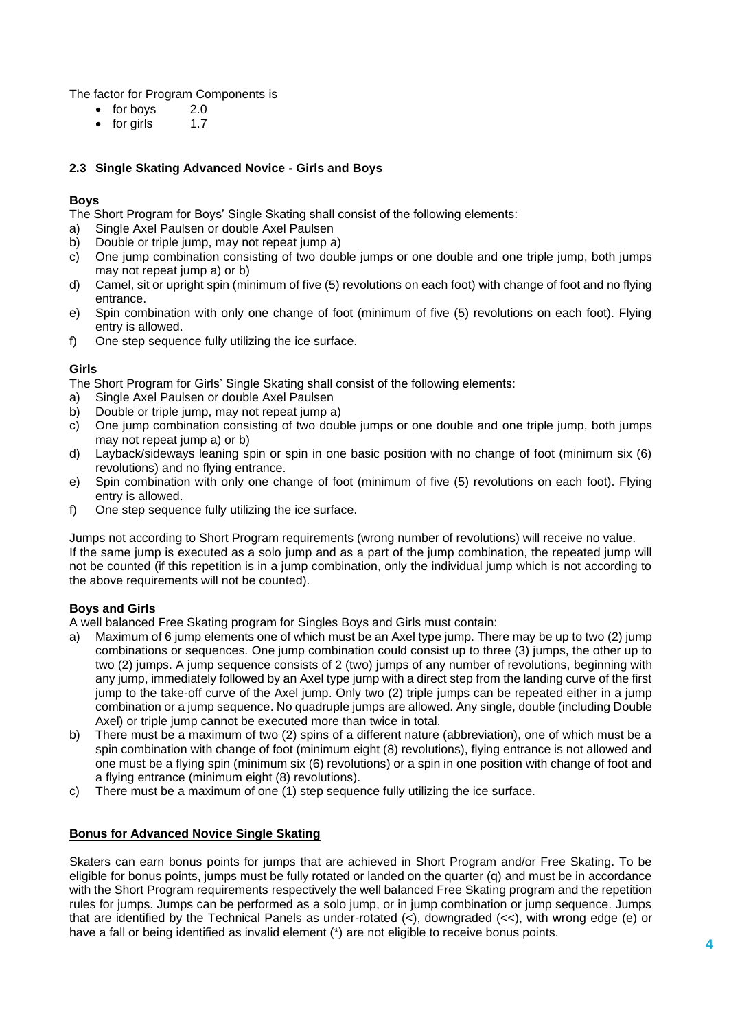The factor for Program Components is

- for boys 2.0
- for girls 1.7

# **2.3 Single Skating Advanced Novice - Girls and Boys**

# **Boys**

The Short Program for Boys' Single Skating shall consist of the following elements:

- a) Single Axel Paulsen or double Axel Paulsen
- b) Double or triple jump, may not repeat jump a)
- c) One jump combination consisting of two double jumps or one double and one triple jump, both jumps may not repeat jump a) or b)
- d) Camel, sit or upright spin (minimum of five (5) revolutions on each foot) with change of foot and no flying entrance.
- e) Spin combination with only one change of foot (minimum of five (5) revolutions on each foot). Flying entry is allowed.
- f) One step sequence fully utilizing the ice surface.

# **Girls**

The Short Program for Girls' Single Skating shall consist of the following elements:

- a) Single Axel Paulsen or double Axel Paulsen
- b) Double or triple jump, may not repeat jump a)
- c) One jump combination consisting of two double jumps or one double and one triple jump, both jumps may not repeat jump a) or b)
- d) Layback/sideways leaning spin or spin in one basic position with no change of foot (minimum six (6) revolutions) and no flying entrance.
- e) Spin combination with only one change of foot (minimum of five (5) revolutions on each foot). Flying entry is allowed.
- f) One step sequence fully utilizing the ice surface.

Jumps not according to Short Program requirements (wrong number of revolutions) will receive no value. If the same jump is executed as a solo jump and as a part of the jump combination, the repeated jump will not be counted (if this repetition is in a jump combination, only the individual jump which is not according to the above requirements will not be counted).

# **Boys and Girls**

A well balanced Free Skating program for Singles Boys and Girls must contain:

- a) Maximum of 6 jump elements one of which must be an Axel type jump. There may be up to two (2) jump combinations or sequences. One jump combination could consist up to three (3) jumps, the other up to two (2) jumps. A jump sequence consists of 2 (two) jumps of any number of revolutions, beginning with any jump, immediately followed by an Axel type jump with a direct step from the landing curve of the first jump to the take-off curve of the Axel jump. Only two (2) triple jumps can be repeated either in a jump combination or a jump sequence. No quadruple jumps are allowed. Any single, double (including Double Axel) or triple jump cannot be executed more than twice in total.
- b) There must be a maximum of two (2) spins of a different nature (abbreviation), one of which must be a spin combination with change of foot (minimum eight (8) revolutions), flying entrance is not allowed and one must be a flying spin (minimum six (6) revolutions) or a spin in one position with change of foot and a flying entrance (minimum eight (8) revolutions).
- c) There must be a maximum of one (1) step sequence fully utilizing the ice surface.

# **Bonus for Advanced Novice Single Skating**

Skaters can earn bonus points for jumps that are achieved in Short Program and/or Free Skating. To be eligible for bonus points, jumps must be fully rotated or landed on the quarter (q) and must be in accordance with the Short Program requirements respectively the well balanced Free Skating program and the repetition rules for jumps. Jumps can be performed as a solo jump, or in jump combination or jump sequence. Jumps that are identified by the Technical Panels as under-rotated (<), downgraded (<<), with wrong edge (e) or have a fall or being identified as invalid element (\*) are not eligible to receive bonus points.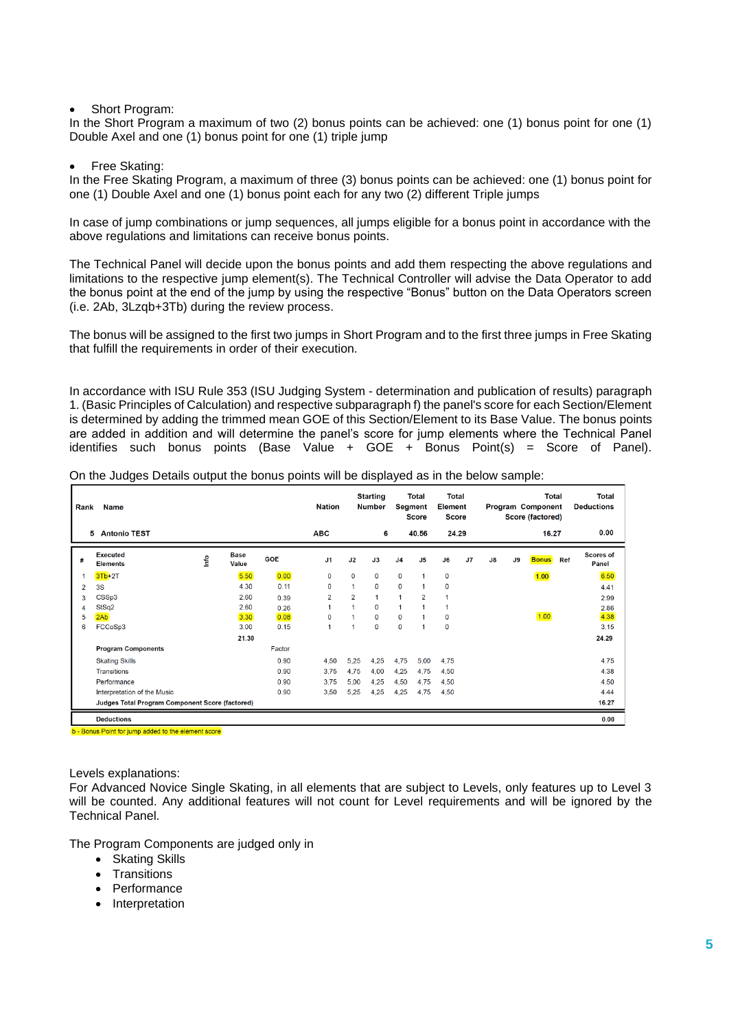#### Short Program:

In the Short Program a maximum of two (2) bonus points can be achieved: one (1) bonus point for one (1) Double Axel and one (1) bonus point for one (1) triple jump

#### • Free Skating:

In the Free Skating Program, a maximum of three (3) bonus points can be achieved: one (1) bonus point for one (1) Double Axel and one (1) bonus point each for any two (2) different Triple jumps

In case of jump combinations or jump sequences, all jumps eligible for a bonus point in accordance with the above regulations and limitations can receive bonus points.

The Technical Panel will decide upon the bonus points and add them respecting the above regulations and limitations to the respective jump element(s). The Technical Controller will advise the Data Operator to add the bonus point at the end of the jump by using the respective "Bonus" button on the Data Operators screen (i.e. 2Ab, 3Lzqb+3Tb) during the review process.

The bonus will be assigned to the first two jumps in Short Program and to the first three jumps in Free Skating that fulfill the requirements in order of their execution.

In accordance with ISU Rule 353 (ISU Judging System - determination and publication of results) paragraph 1. (Basic Principles of Calculation) and respective subparagraph f) the panel's score for each Section/Element is determined by adding the trimmed mean GOE of this Section/Element to its Base Value. The bonus points are added in addition and will determine the panel's score for jump elements where the Technical Panel identifies such bonus points (Base Value + GOE + Bonus Point(s) = Score of Panel).

| On the Judges Details output the bonus points will be displayed as in the below sample: |
|-----------------------------------------------------------------------------------------|
|-----------------------------------------------------------------------------------------|

| Rank | <b>Name</b>                                                                                                              |      |                      | <b>Nation</b> |                | <b>Starting</b><br><b>Number</b> | Total<br>Total<br><b>Element</b><br>Segment<br>Score<br><b>Score</b> |                |                      |             | Total<br>Program Component<br>Score (factored) |               |    |              | <b>Total</b><br><b>Deductions</b> |                           |
|------|--------------------------------------------------------------------------------------------------------------------------|------|----------------------|---------------|----------------|----------------------------------|----------------------------------------------------------------------|----------------|----------------------|-------------|------------------------------------------------|---------------|----|--------------|-----------------------------------|---------------------------|
|      | <b>Antonio TEST</b><br>5                                                                                                 |      |                      |               | <b>ABC</b>     |                                  | 6                                                                    |                | 40.56                | 24.29       |                                                |               |    | 16.27        |                                   | 0.00                      |
| #    | <b>Executed</b><br><b>Elements</b>                                                                                       | Info | <b>Base</b><br>Value | <b>GOE</b>    | J <sub>1</sub> | J2                               | J3                                                                   | J <sub>4</sub> | J <sub>5</sub>       | J6          | J7                                             | $\mathsf{J}8$ | J9 | <b>Bonus</b> | Ref                               | <b>Scores of</b><br>Panel |
|      | $3Tb+2T$                                                                                                                 |      | 5.50                 | 0.00          | 0              | $\mathbf{0}$                     | $\mathbf 0$                                                          | $\mathbf 0$    | $\blacktriangleleft$ | $\mathbf 0$ |                                                |               |    | 1.00         |                                   | 6.50                      |
| 2    | 3S                                                                                                                       |      | 4.30                 | 0.11          | 0              | $\mathbf{1}$                     | 0                                                                    | $\mathbf 0$    |                      | 0           |                                                |               |    |              |                                   | 4.41                      |
| 3    | CSSp3                                                                                                                    |      | 2.60                 | 0.39          | $\overline{2}$ | $\overline{2}$                   |                                                                      | $\overline{1}$ | $\overline{2}$       | 1           |                                                |               |    |              |                                   | 2.99                      |
| Δ    | StSq2                                                                                                                    |      | 2.60                 | 0.26          |                | $\blacktriangleleft$             | $\mathbf{O}$                                                         | $\mathbf{1}$   |                      | 1           |                                                |               |    |              |                                   | 2.86                      |
| 5    | 2Ab                                                                                                                      |      | 3.30                 | 0.08          | $\Omega$       | $\blacktriangleleft$             | $\Omega$                                                             | $\mathbf 0$    |                      | 0           |                                                |               |    | 1.00         |                                   | 4.38                      |
| 6    | FCCoSp3                                                                                                                  |      | 3.00                 | 0.15          |                | $\blacktriangleleft$             | $\mathbf 0$                                                          | $\mathbf 0$    |                      | 0           |                                                |               |    |              |                                   | 3.15                      |
|      |                                                                                                                          |      | 21.30                |               |                |                                  |                                                                      |                |                      |             |                                                |               |    |              |                                   | 24.29                     |
|      | <b>Program Components</b>                                                                                                |      |                      | Factor        |                |                                  |                                                                      |                |                      |             |                                                |               |    |              |                                   |                           |
|      | <b>Skating Skills</b>                                                                                                    |      |                      | 0.90          | 4,50           | 5,25                             | 4,25                                                                 | 4,75           | 5,00                 | 4,75        |                                                |               |    |              |                                   | 4.75                      |
|      | Transitions                                                                                                              |      |                      | 0.90          | 3,75           | 4,75                             | 4,00                                                                 | 4,25           | 4,75                 | 4,50        |                                                |               |    |              |                                   | 4.38                      |
|      | Performance                                                                                                              |      |                      | 0.90          | 3.75           | 5,00                             | 4,25                                                                 | 4,50           | 4,75                 | 4,50        |                                                |               |    |              |                                   | 4.50                      |
|      | Interpretation of the Music                                                                                              |      |                      | 0.90          | 3,50           | 5,25                             | 4,25                                                                 | 4,25           | 4,75                 | 4,50        |                                                |               |    |              |                                   | 4.44                      |
|      | Judges Total Program Component Score (factored)                                                                          |      |                      |               |                |                                  |                                                                      |                |                      |             |                                                |               |    |              |                                   | 16.27                     |
|      | <b>Deductions</b>                                                                                                        |      |                      |               |                |                                  |                                                                      |                |                      |             |                                                |               |    |              |                                   | 0.00                      |
|      | The contract the state of the state of the state of the state of the state of the state of the state of the state of the |      |                      |               |                |                                  |                                                                      |                |                      |             |                                                |               |    |              |                                   |                           |

- Bonus Point for jump added to the element s

#### Levels explanations:

For Advanced Novice Single Skating, in all elements that are subject to Levels, only features up to Level 3 will be counted. Any additional features will not count for Level requirements and will be ignored by the Technical Panel.

The Program Components are judged only in

- Skating Skills
- Transitions
- Performance
- Interpretation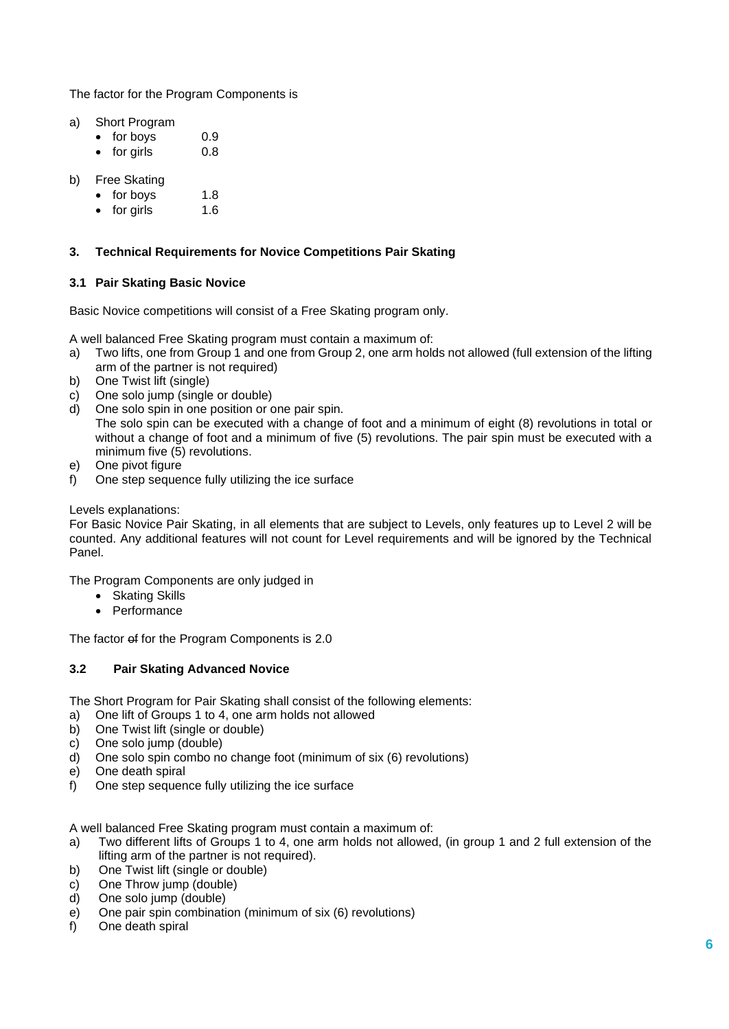The factor for the Program Components is

- a) Short Program
	- for boys 0.9
	- for girls 0.8
- b) Free Skating
	- for boys 1.8
	- for girls 1.6

# **3. Technical Requirements for Novice Competitions Pair Skating**

# **3.1 Pair Skating Basic Novice**

Basic Novice competitions will consist of a Free Skating program only.

A well balanced Free Skating program must contain a maximum of:

- a) Two lifts, one from Group 1 and one from Group 2, one arm holds not allowed (full extension of the lifting arm of the partner is not required)
- b) One Twist lift (single)
- c) One solo jump (single or double)
- d) One solo spin in one position or one pair spin. The solo spin can be executed with a change of foot and a minimum of eight (8) revolutions in total or without a change of foot and a minimum of five (5) revolutions. The pair spin must be executed with a minimum five (5) revolutions.
- e) One pivot figure
- f) One step sequence fully utilizing the ice surface

# Levels explanations:

For Basic Novice Pair Skating, in all elements that are subject to Levels, only features up to Level 2 will be counted. Any additional features will not count for Level requirements and will be ignored by the Technical Panel.

The Program Components are only judged in

- Skating Skills
- Performance

The factor of for the Program Components is 2.0

# **3.2 Pair Skating Advanced Novice**

The Short Program for Pair Skating shall consist of the following elements:

- a) One lift of Groups 1 to 4, one arm holds not allowed
- b) One Twist lift (single or double)
- c) One solo jump (double)
- d) One solo spin combo no change foot (minimum of six (6) revolutions)
- e) One death spiral
- f) One step sequence fully utilizing the ice surface

A well balanced Free Skating program must contain a maximum of:

- a) Two different lifts of Groups 1 to 4, one arm holds not allowed, (in group 1 and 2 full extension of the lifting arm of the partner is not required).
- b) One Twist lift (single or double)
- c) One Throw jump (double)
- d) One solo jump (double)
- e) One pair spin combination (minimum of six (6) revolutions)
- f) One death spiral